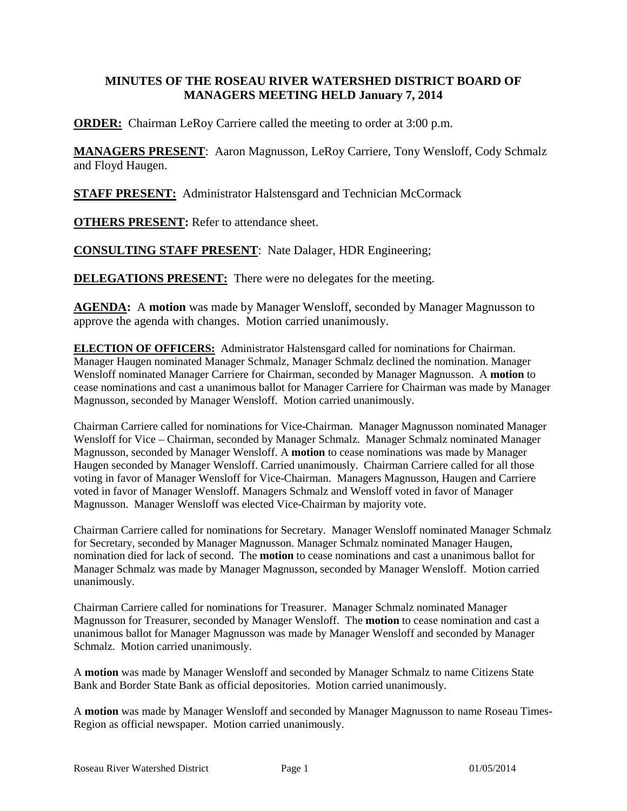## **MINUTES OF THE ROSEAU RIVER WATERSHED DISTRICT BOARD OF MANAGERS MEETING HELD January 7, 2014**

**ORDER:** Chairman LeRoy Carriere called the meeting to order at 3:00 p.m.

**MANAGERS PRESENT**: Aaron Magnusson, LeRoy Carriere, Tony Wensloff, Cody Schmalz and Floyd Haugen.

**STAFF PRESENT:** Administrator Halstensgard and Technician McCormack

**OTHERS PRESENT:** Refer to attendance sheet.

**CONSULTING STAFF PRESENT**: Nate Dalager, HDR Engineering;

**DELEGATIONS PRESENT:** There were no delegates for the meeting.

**AGENDA:** A **motion** was made by Manager Wensloff, seconded by Manager Magnusson to approve the agenda with changes. Motion carried unanimously.

**ELECTION OF OFFICERS:** Administrator Halstensgard called for nominations for Chairman. Manager Haugen nominated Manager Schmalz, Manager Schmalz declined the nomination. Manager Wensloff nominated Manager Carriere for Chairman, seconded by Manager Magnusson. A **motion** to cease nominations and cast a unanimous ballot for Manager Carriere for Chairman was made by Manager Magnusson, seconded by Manager Wensloff. Motion carried unanimously.

Chairman Carriere called for nominations for Vice-Chairman. Manager Magnusson nominated Manager Wensloff for Vice – Chairman, seconded by Manager Schmalz. Manager Schmalz nominated Manager Magnusson, seconded by Manager Wensloff. A **motion** to cease nominations was made by Manager Haugen seconded by Manager Wensloff. Carried unanimously. Chairman Carriere called for all those voting in favor of Manager Wensloff for Vice-Chairman. Managers Magnusson, Haugen and Carriere voted in favor of Manager Wensloff. Managers Schmalz and Wensloff voted in favor of Manager Magnusson. Manager Wensloff was elected Vice-Chairman by majority vote.

Chairman Carriere called for nominations for Secretary. Manager Wensloff nominated Manager Schmalz for Secretary, seconded by Manager Magnusson. Manager Schmalz nominated Manager Haugen, nomination died for lack of second. The **motion** to cease nominations and cast a unanimous ballot for Manager Schmalz was made by Manager Magnusson, seconded by Manager Wensloff. Motion carried unanimously.

Chairman Carriere called for nominations for Treasurer. Manager Schmalz nominated Manager Magnusson for Treasurer, seconded by Manager Wensloff. The **motion** to cease nomination and cast a unanimous ballot for Manager Magnusson was made by Manager Wensloff and seconded by Manager Schmalz. Motion carried unanimously.

A **motion** was made by Manager Wensloff and seconded by Manager Schmalz to name Citizens State Bank and Border State Bank as official depositories. Motion carried unanimously.

A **motion** was made by Manager Wensloff and seconded by Manager Magnusson to name Roseau Times-Region as official newspaper. Motion carried unanimously.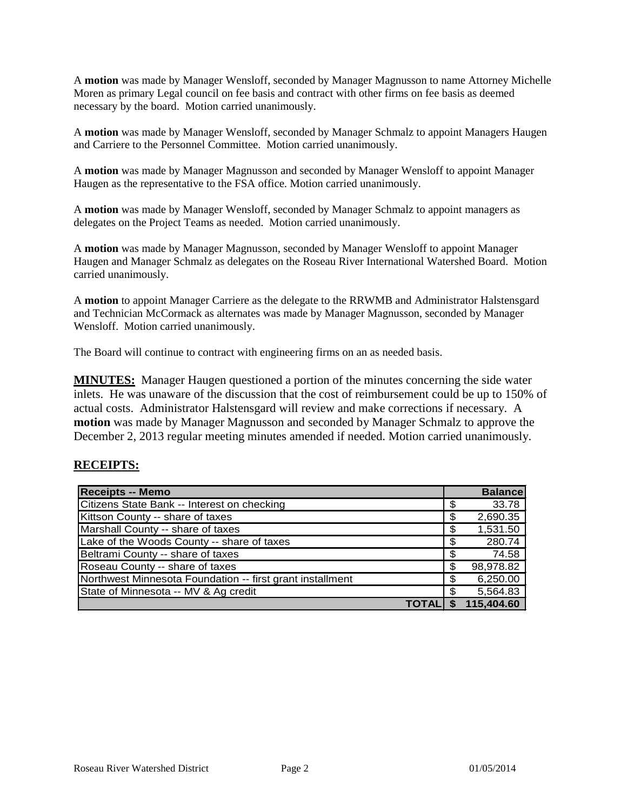A **motion** was made by Manager Wensloff, seconded by Manager Magnusson to name Attorney Michelle Moren as primary Legal council on fee basis and contract with other firms on fee basis as deemed necessary by the board. Motion carried unanimously.

A **motion** was made by Manager Wensloff, seconded by Manager Schmalz to appoint Managers Haugen and Carriere to the Personnel Committee. Motion carried unanimously.

A **motion** was made by Manager Magnusson and seconded by Manager Wensloff to appoint Manager Haugen as the representative to the FSA office. Motion carried unanimously.

A **motion** was made by Manager Wensloff, seconded by Manager Schmalz to appoint managers as delegates on the Project Teams as needed. Motion carried unanimously.

A **motion** was made by Manager Magnusson, seconded by Manager Wensloff to appoint Manager Haugen and Manager Schmalz as delegates on the Roseau River International Watershed Board. Motion carried unanimously.

A **motion** to appoint Manager Carriere as the delegate to the RRWMB and Administrator Halstensgard and Technician McCormack as alternates was made by Manager Magnusson, seconded by Manager Wensloff. Motion carried unanimously.

The Board will continue to contract with engineering firms on an as needed basis.

**MINUTES:** Manager Haugen questioned a portion of the minutes concerning the side water inlets. He was unaware of the discussion that the cost of reimbursement could be up to 150% of actual costs. Administrator Halstensgard will review and make corrections if necessary. A **motion** was made by Manager Magnusson and seconded by Manager Schmalz to approve the December 2, 2013 regular meeting minutes amended if needed. Motion carried unanimously.

#### **RECEIPTS:**

| <b>Receipts -- Memo</b>                                   |     | <b>Balance</b> |
|-----------------------------------------------------------|-----|----------------|
| Citizens State Bank -- Interest on checking               | \$  | 33.78          |
| Kittson County -- share of taxes                          | \$  | 2,690.35       |
| Marshall County -- share of taxes                         | \$  | 1,531.50       |
| Lake of the Woods County -- share of taxes                | \$  | 280.74         |
| Beltrami County -- share of taxes                         | \$  | 74.58          |
| Roseau County -- share of taxes                           | \$  | 98,978.82      |
| Northwest Minnesota Foundation -- first grant installment | \$  | 6,250.00       |
| State of Minnesota -- MV & Ag credit                      | \$. | 5,564.83       |
|                                                           |     | 115,404.60     |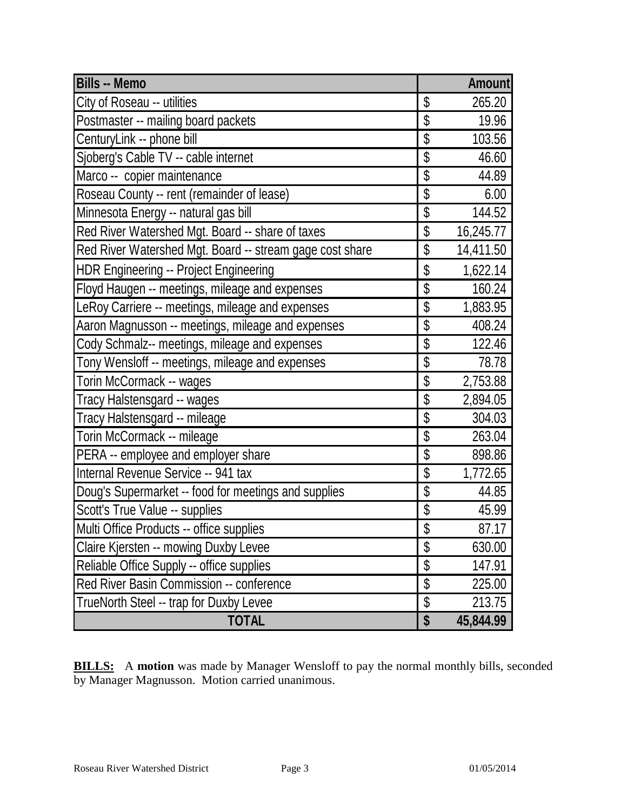| <b>Bills -- Memo</b>                                     |                          | Amount    |
|----------------------------------------------------------|--------------------------|-----------|
| City of Roseau -- utilities                              | \$                       | 265.20    |
| Postmaster -- mailing board packets                      | \$                       | 19.96     |
| CenturyLink -- phone bill                                | \$                       | 103.56    |
| Sjoberg's Cable TV -- cable internet                     | \$                       | 46.60     |
| Marco -- copier maintenance                              | \$                       | 44.89     |
| Roseau County -- rent (remainder of lease)               | \$                       | 6.00      |
| Minnesota Energy -- natural gas bill                     | \$                       | 144.52    |
| Red River Watershed Mgt. Board -- share of taxes         | \$                       | 16,245.77 |
| Red River Watershed Mgt. Board -- stream gage cost share | \$                       | 14,411.50 |
| <b>HDR Engineering -- Project Engineering</b>            | \$                       | 1,622.14  |
| Floyd Haugen -- meetings, mileage and expenses           | \$                       | 160.24    |
| LeRoy Carriere -- meetings, mileage and expenses         | $\overline{\mathcal{S}}$ | 1,883.95  |
| Aaron Magnusson -- meetings, mileage and expenses        | $\overline{\$}$          | 408.24    |
| Cody Schmalz-- meetings, mileage and expenses            | $\overline{\$}$          | 122.46    |
| Tony Wensloff -- meetings, mileage and expenses          | $\overline{\$}$          | 78.78     |
| Torin McCormack -- wages                                 | $\overline{\mathcal{S}}$ | 2,753.88  |
| Tracy Halstensgard -- wages                              | \$                       | 2,894.05  |
| Tracy Halstensgard -- mileage                            | \$                       | 304.03    |
| Torin McCormack -- mileage                               | \$                       | 263.04    |
| PERA -- employee and employer share                      | \$                       | 898.86    |
| Internal Revenue Service -- 941 tax                      | $\overline{\mathcal{S}}$ | 1,772.65  |
| Doug's Supermarket -- food for meetings and supplies     | \$                       | 44.85     |
| Scott's True Value -- supplies                           | $\frac{1}{2}$            | 45.99     |
| Multi Office Products -- office supplies                 | $\frac{1}{2}$            | 87.17     |
| Claire Kjersten -- mowing Duxby Levee                    | \$                       | 630.00    |
| Reliable Office Supply -- office supplies                | $\overline{\$}$          | 147.91    |
| Red River Basin Commission -- conference                 | $\overline{\mathcal{S}}$ | 225.00    |
| TrueNorth Steel -- trap for Duxby Levee                  | $\overline{\$}$          | 213.75    |
| <b>TOTAL</b>                                             | \$                       | 45,844.99 |

**BILLS:** A motion was made by Manager Wensloff to pay the normal monthly bills, seconded by Manager Magnusson. Motion carried unanimous.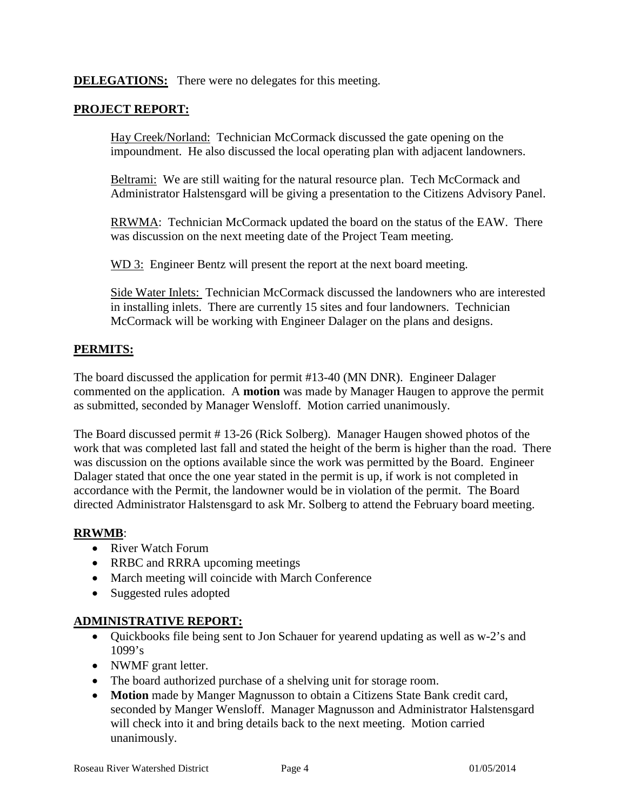**DELEGATIONS:** There were no delegates for this meeting.

### **PROJECT REPORT:**

Hay Creek/Norland: Technician McCormack discussed the gate opening on the impoundment. He also discussed the local operating plan with adjacent landowners.

Beltrami: We are still waiting for the natural resource plan. Tech McCormack and Administrator Halstensgard will be giving a presentation to the Citizens Advisory Panel.

RRWMA: Technician McCormack updated the board on the status of the EAW. There was discussion on the next meeting date of the Project Team meeting.

WD 3: Engineer Bentz will present the report at the next board meeting.

Side Water Inlets: Technician McCormack discussed the landowners who are interested in installing inlets. There are currently 15 sites and four landowners. Technician McCormack will be working with Engineer Dalager on the plans and designs.

### **PERMITS:**

The board discussed the application for permit #13-40 (MN DNR). Engineer Dalager commented on the application. A **motion** was made by Manager Haugen to approve the permit as submitted, seconded by Manager Wensloff. Motion carried unanimously.

The Board discussed permit # 13-26 (Rick Solberg). Manager Haugen showed photos of the work that was completed last fall and stated the height of the berm is higher than the road. There was discussion on the options available since the work was permitted by the Board. Engineer Dalager stated that once the one year stated in the permit is up, if work is not completed in accordance with the Permit, the landowner would be in violation of the permit. The Board directed Administrator Halstensgard to ask Mr. Solberg to attend the February board meeting.

#### **RRWMB**:

- River Watch Forum
- RRBC and RRRA upcoming meetings
- March meeting will coincide with March Conference
- Suggested rules adopted

#### **ADMINISTRATIVE REPORT:**

- Quickbooks file being sent to Jon Schauer for yearend updating as well as w-2's and 1099's
- NWMF grant letter.
- The board authorized purchase of a shelving unit for storage room.
- **Motion** made by Manger Magnusson to obtain a Citizens State Bank credit card, seconded by Manger Wensloff. Manager Magnusson and Administrator Halstensgard will check into it and bring details back to the next meeting. Motion carried unanimously.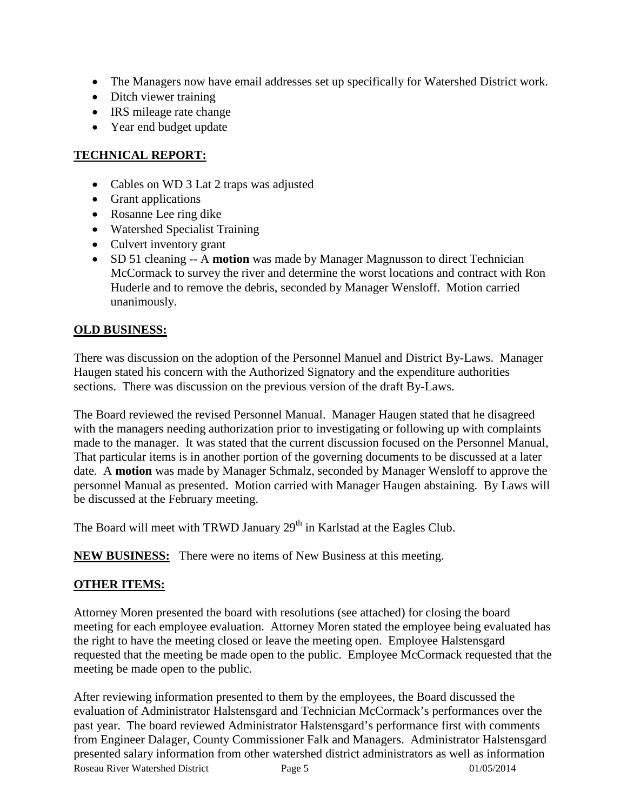- The Managers now have email addresses set up specifically for Watershed District work.
- Ditch viewer training
- IRS mileage rate change
- Year end budget update

# **TECHNICAL REPORT:**

- Cables on WD 3 Lat 2 traps was adjusted
- Grant applications
- Rosanne Lee ring dike
- Watershed Specialist Training
- Culvert inventory grant
- SD 51 cleaning -- A **motion** was made by Manager Magnusson to direct Technician McCormack to survey the river and determine the worst locations and contract with Ron Huderle and to remove the debris, seconded by Manager Wensloff. Motion carried unanimously.

# **OLD BUSINESS:**

There was discussion on the adoption of the Personnel Manuel and District By-Laws. Manager Haugen stated his concern with the Authorized Signatory and the expenditure authorities sections. There was discussion on the previous version of the draft By-Laws.

The Board reviewed the revised Personnel Manual. Manager Haugen stated that he disagreed with the managers needing authorization prior to investigating or following up with complaints made to the manager. It was stated that the current discussion focused on the Personnel Manual, That particular items is in another portion of the governing documents to be discussed at a later date. A **motion** was made by Manager Schmalz, seconded by Manager Wensloff to approve the personnel Manual as presented. Motion carried with Manager Haugen abstaining. By Laws will be discussed at the February meeting.

The Board will meet with TRWD January 29<sup>th</sup> in Karlstad at the Eagles Club.

**NEW BUSINESS:** There were no items of New Business at this meeting.

# **OTHER ITEMS:**

Attorney Moren presented the board with resolutions (see attached) for closing the board meeting for each employee evaluation. Attorney Moren stated the employee being evaluated has the right to have the meeting closed or leave the meeting open. Employee Halstensgard requested that the meeting be made open to the public. Employee McCormack requested that the meeting be made open to the public.

Roseau River Watershed District Page 5 01/05/2014 After reviewing information presented to them by the employees, the Board discussed the evaluation of Administrator Halstensgard and Technician McCormack's performances over the past year. The board reviewed Administrator Halstensgard's performance first with comments from Engineer Dalager, County Commissioner Falk and Managers. Administrator Halstensgard presented salary information from other watershed district administrators as well as information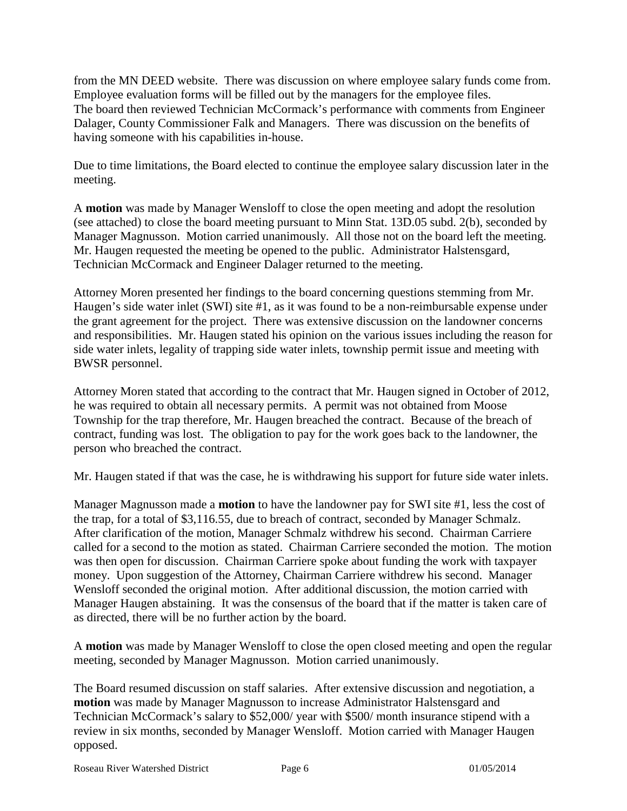from the MN DEED website. There was discussion on where employee salary funds come from. Employee evaluation forms will be filled out by the managers for the employee files. The board then reviewed Technician McCormack's performance with comments from Engineer Dalager, County Commissioner Falk and Managers. There was discussion on the benefits of having someone with his capabilities in-house.

Due to time limitations, the Board elected to continue the employee salary discussion later in the meeting.

A **motion** was made by Manager Wensloff to close the open meeting and adopt the resolution (see attached) to close the board meeting pursuant to Minn Stat. 13D.05 subd. 2(b), seconded by Manager Magnusson. Motion carried unanimously. All those not on the board left the meeting. Mr. Haugen requested the meeting be opened to the public. Administrator Halstensgard, Technician McCormack and Engineer Dalager returned to the meeting.

Attorney Moren presented her findings to the board concerning questions stemming from Mr. Haugen's side water inlet (SWI) site #1, as it was found to be a non-reimbursable expense under the grant agreement for the project. There was extensive discussion on the landowner concerns and responsibilities. Mr. Haugen stated his opinion on the various issues including the reason for side water inlets, legality of trapping side water inlets, township permit issue and meeting with BWSR personnel.

Attorney Moren stated that according to the contract that Mr. Haugen signed in October of 2012, he was required to obtain all necessary permits. A permit was not obtained from Moose Township for the trap therefore, Mr. Haugen breached the contract. Because of the breach of contract, funding was lost. The obligation to pay for the work goes back to the landowner, the person who breached the contract.

Mr. Haugen stated if that was the case, he is withdrawing his support for future side water inlets.

Manager Magnusson made a **motion** to have the landowner pay for SWI site #1, less the cost of the trap, for a total of \$3,116.55, due to breach of contract, seconded by Manager Schmalz. After clarification of the motion, Manager Schmalz withdrew his second. Chairman Carriere called for a second to the motion as stated. Chairman Carriere seconded the motion. The motion was then open for discussion. Chairman Carriere spoke about funding the work with taxpayer money. Upon suggestion of the Attorney, Chairman Carriere withdrew his second. Manager Wensloff seconded the original motion. After additional discussion, the motion carried with Manager Haugen abstaining. It was the consensus of the board that if the matter is taken care of as directed, there will be no further action by the board.

A **motion** was made by Manager Wensloff to close the open closed meeting and open the regular meeting, seconded by Manager Magnusson. Motion carried unanimously.

The Board resumed discussion on staff salaries. After extensive discussion and negotiation, a **motion** was made by Manager Magnusson to increase Administrator Halstensgard and Technician McCormack's salary to \$52,000/ year with \$500/ month insurance stipend with a review in six months, seconded by Manager Wensloff. Motion carried with Manager Haugen opposed.